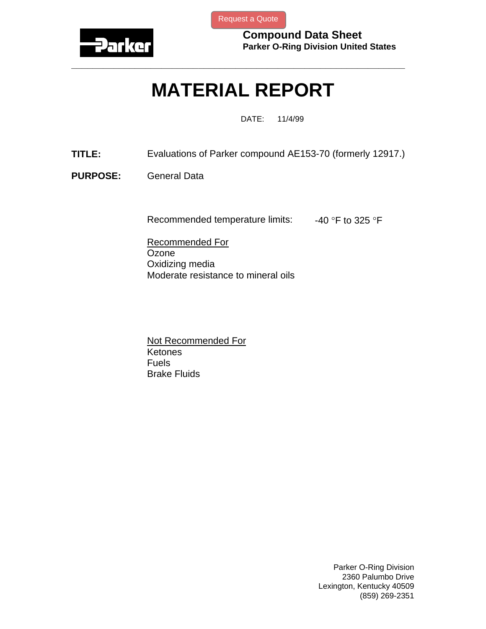

[Request a Quote](http://www.marcorubber.com/contact_quote.htm?material=Parker+AE153-75)

**Compound Data Sheet Parker O-Ring Division United States** 

## **MATERIAL REPORT**

**\_\_\_\_\_\_\_\_\_\_\_\_\_\_\_\_\_\_\_\_\_\_\_\_\_\_\_\_\_\_\_\_\_\_\_\_\_\_\_\_\_\_\_\_\_\_\_\_\_\_\_\_\_\_\_\_\_\_\_\_\_\_\_** 

DATE: 11/4/99

- **TITLE:** Evaluations of Parker compound AE153-70 (formerly 12917.)
- **PURPOSE:** General Data

Recommended temperature limits:  $-40$  °F to 325 °F

Recommended For **Ozone** Oxidizing media Moderate resistance to mineral oils

Not Recommended For Ketones Fuels Brake Fluids

> Parker O-Ring Division 2360 Palumbo Drive Lexington, Kentucky 40509 (859) 269-2351